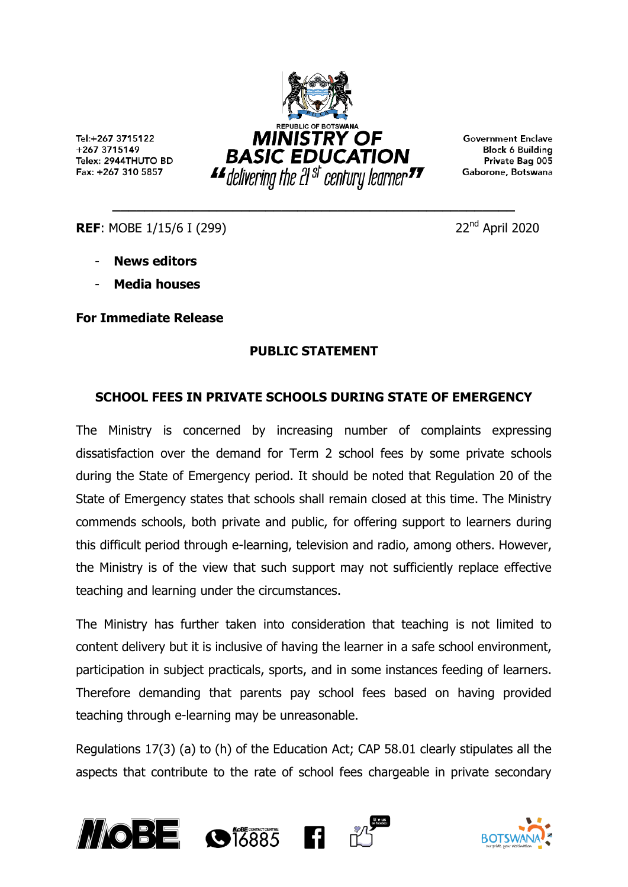Tel:+267 3715122 +267 3715149 Telex: 2944THUTO BD Fax: +267 310 5857



**\_\_\_\_\_\_\_\_\_\_\_\_\_\_\_\_\_\_\_\_\_\_\_\_\_\_\_\_\_\_\_\_\_\_\_\_\_\_\_\_\_\_\_\_\_\_\_\_\_\_**

**Government Enclave Block 6 Building** Private Bag 005 Gaborone, Botswana

**REF:** MOBE 1/15/6 I (299) 22<sup>nd</sup> April 2020

- **News editors**
- **Media houses**

**For Immediate Release**

## **PUBLIC STATEMENT**

## **SCHOOL FEES IN PRIVATE SCHOOLS DURING STATE OF EMERGENCY**

The Ministry is concerned by increasing number of complaints expressing dissatisfaction over the demand for Term 2 school fees by some private schools during the State of Emergency period. It should be noted that Regulation 20 of the State of Emergency states that schools shall remain closed at this time. The Ministry commends schools, both private and public, for offering support to learners during this difficult period through e-learning, television and radio, among others. However, the Ministry is of the view that such support may not sufficiently replace effective teaching and learning under the circumstances.

The Ministry has further taken into consideration that teaching is not limited to content delivery but it is inclusive of having the learner in a safe school environment, participation in subject practicals, sports, and in some instances feeding of learners. Therefore demanding that parents pay school fees based on having provided teaching through e-learning may be unreasonable.

Regulations 17(3) (a) to (h) of the Education Act; CAP 58.01 clearly stipulates all the aspects that contribute to the rate of school fees chargeable in private secondary